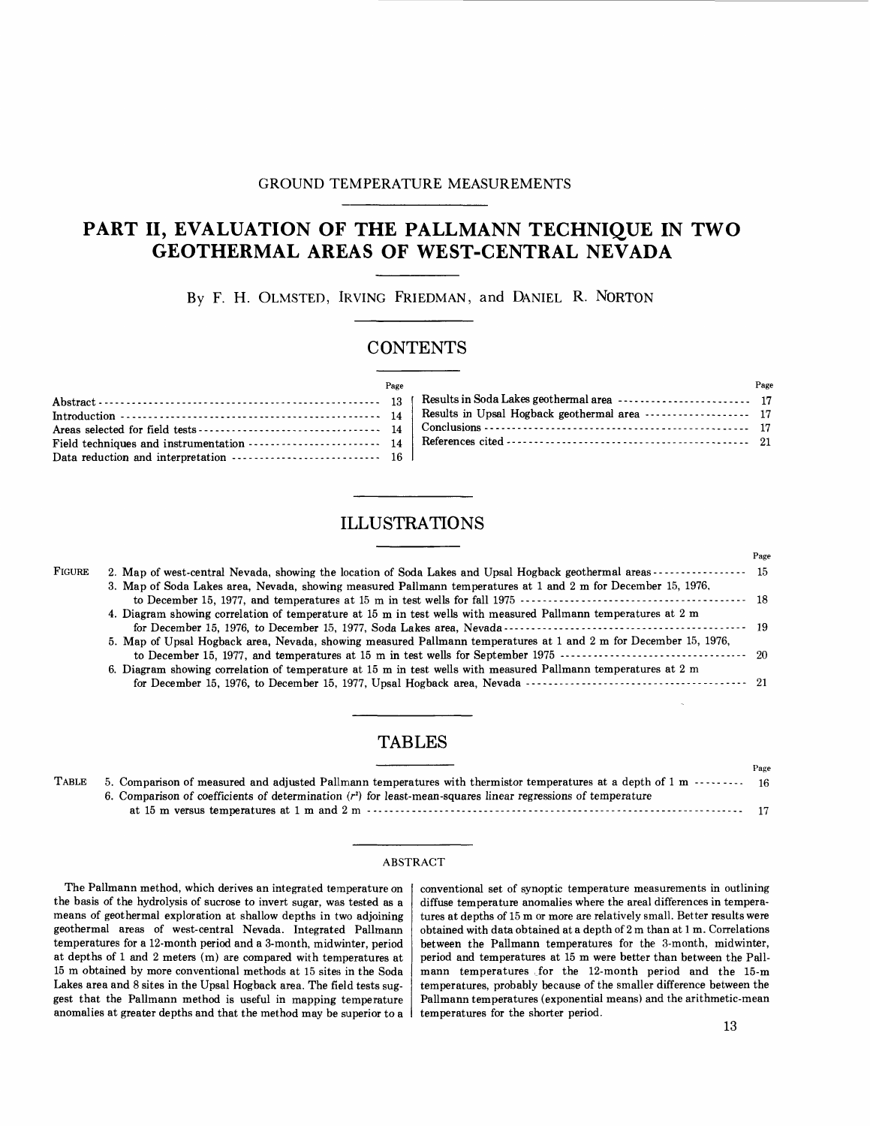### GROUND TEMPERATURE MEASUREMENTS

# PART II, EVALUATION OF THE PALLMANN TECHNIQUE IN TWO **GEOTHERMAL AREAS OF WEST-CENTRAL NEVADA**

By F. H. OLMSTED, IRVING FRIEDMAN, and DANIEL R. NORTON

## **CONTENTS**

| Page |                                                                                                                                                                                                                                                                                                                                         | Page |
|------|-----------------------------------------------------------------------------------------------------------------------------------------------------------------------------------------------------------------------------------------------------------------------------------------------------------------------------------------|------|
|      |                                                                                                                                                                                                                                                                                                                                         |      |
|      | Introduction $\cdots$ $\cdots$ $\cdots$ $\cdots$ $\cdots$ $\cdots$ $\cdots$ $\cdots$ $\cdots$ $\cdots$ $\cdots$ $\cdots$ $\cdots$ $\cdots$ $\cdots$ $\cdots$ $\cdots$ $\cdots$ $\cdots$ $\cdots$ $\cdots$ $\cdots$ $\cdots$ $\cdots$ $\cdots$ $\cdots$ $\cdots$ $\cdots$ $\cdots$ $\cdots$ $\cdots$ $\cdots$ $\cdots$ $\cdots$ $\cdots$ |      |
|      |                                                                                                                                                                                                                                                                                                                                         |      |
|      | Field techniques and instrumentation $\cdots$ $\cdots$ $\cdots$ $\cdots$ $\cdots$ $\cdots$ $\cdots$ $\cdots$ $\cdots$ $\cdots$ $\cdots$ $\cdots$ $\cdots$ $\cdots$ $\cdots$ $\cdots$ $\cdots$ $\cdots$ $\cdots$ $\cdots$ $\cdots$                                                                                                       |      |
|      |                                                                                                                                                                                                                                                                                                                                         |      |

## **ILLUSTRA TIONS**

| Page                                                                                                     |
|----------------------------------------------------------------------------------------------------------|
| 2. Map of west-central Nevada, showing the location of Soda Lakes and Upsal Hogback geothermal areas  15 |
|                                                                                                          |
|                                                                                                          |
|                                                                                                          |
|                                                                                                          |
|                                                                                                          |
|                                                                                                          |
|                                                                                                          |
|                                                                                                          |
|                                                                                                          |

## **TABLES**

|       |                                                                                                                      | Page |
|-------|----------------------------------------------------------------------------------------------------------------------|------|
| Table | 5. Comparison of measured and adjusted Pallmann temperatures with thermistor temperatures at a depth of 1 m $\cdots$ |      |
|       | 6. Comparison of coefficients of determination $(r^2)$ for least-mean-squares linear regressions of temperature      |      |
|       |                                                                                                                      |      |

#### ABSTRACT

The Pallmann method, which derives an integrated temperature on the basis of the hydrolysis of sucrose to invert sugar, was tested as a means of geothermal exploration at shallow depths in two adjoining geothermal areas of west-central Nevada. Integrated Pallmann temperatures for a 12-month period and a 3-month, midwinter, period at depths of 1 and 2 meters (m) are compared with temperatures at 15 m obtained by more conventional methods at 15 sites in the Soda Lakes area and 8 sites in the Upsal Hogback area. The field tests suggest that the Pallmann method is useful in mapping temperature anomalies at greater depths and that the method may be superior to a conventional set of synoptic temperature measurements in outlining diffuse temperature anomalies where the areal differences in temperatures at depths of 15 m or more are relatively small. Better results were obtained with data obtained at a depth of 2 m than at 1 m. Correlations between the Pallmann temperatures for the 3-month, midwinter, period and temperatures at 15 m were better than between the Pallmann temperatures for the 12-month period and the 15-m temperatures, probably because of the smaller difference between the Pallmann temperatures (exponential means) and the arithmetic-mean temperatures for the shorter period.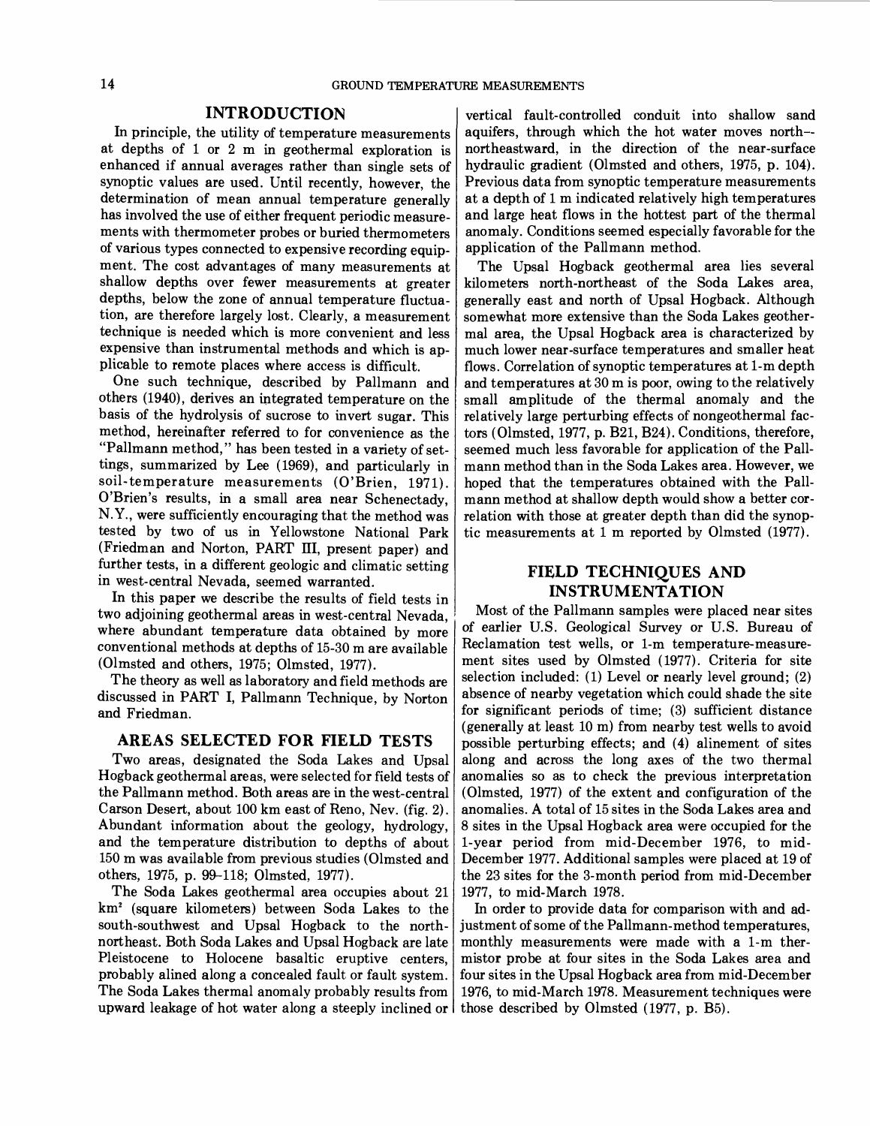### INTRODUCTION

In principle, the utility of temperature measurements at depths of 1 or 2 m in geothermal exploration is enhanced if annual averages rather than single sets of synoptic values are used. Until recently, however, the determination of mean annual temperature generally has involved the use of either frequent periodic measurements with thermometer probes or buried thermometers of various types connected to expensive recording equipment. The cost advantages of many measurements at shallow depths over fewer measurements at greater depths, below the zone of annual temperature fluctuation, are therefore largely lost. Clearly, a measurement technique is needed which is more convenient and less expensive than instrumental methods and which is applicable to remote places where access is difficult.

One such technique, described by Pallmann and others (1940), derives an integrated temperature on the basis of the hydrolysis of sucrose to invert sugar. This method, hereinafter referred to for convenience as the "Pallmann method," has been tested in a variety of settings, summarized by Lee (1969), and particularly in soil-temperature measurements (O'Brien, 1971). O'Brien's results, in a small area near Schenectady, N.Y., were sufficiently encouraging that the method was tested by two of us in Yellowstone National Park (Friedman and Norton, PART ITI, present paper) and further tests, in a different geologic and climatic setting in west-central Nevada, seemed warranted.

INSTRUMENTATION<br>In this paper we describe the results of field tests in  $\begin{bmatrix} \text{INSTRUMENTATION} \\ \text{IMSTRUMENTATION} \end{bmatrix}$ where abundant temperature data obtained by more  $\sigma$  earlier U.S. Geological Survey or U.S. Bureau of conventional methods at denths of 15.30 m are available. conventional methods at depths of 15-30 m are available

discussed in PART I, Pallmann Technique, by Norton and Friedman.  $\left| \int f(x) dx \right|$  for significant periods of time; (3) sufficient distance

### AREAS SELECTED FOR FIELD TESTS

Two areas, designated the Soda Lakes and Upsal Hogback geothermal areas, were selected for field tests of the Pallmann method. Both areas are in the west-central Carson Desert, about 100 km east of Reno, Nev. (fig. 2). Abundant information about the geology, hydrology, and the temperature distribution to depths of about 150 m was available from previous studies (Olmsted and others, 1975, p. 99-118; Olmsted, 1977).

The Soda Lakes geothermal area occupies about 21 km2 (square kilometers) between Soda Lakes to the south-southwest and Upsal Hogback to the northnortheast. Both Soda Lakes and Upsal Hogback are late Pleistocene to Holocene basaltic eruptive centers, probably alined along a concealed fault or fault system. The Soda Lakes thermal anomaly probably results from upward leakage of hot water along a steeply inclined or

vertical fault-controlled conduit into shallow sand aquifers, through which the hot water moves north- northeastward, in the direction of the near-surface hydraulic gradient (Olmsted and others, 1975, p. 104). Previous data from synoptic temperature measurements at a depth of 1 m indicated relatively high temperatures and large heat flows in the hottest part of the thermal anomaly. Conditions seemed especially favorable for the application of the Pallmann method.

The Upsal Hogback geothermal area lies several kilometers north-northeast of the Soda Lakes area, generally east and north of Upsal Hogback. Although somewhat more extensive than the Soda Lakes geothermal area, the Upsal Hogback area is characterized by much lower near-surface temperatures and smaller heat flows. Correlation of synoptic temperatures at I-m depth and temperatures at 30 m is poor, owing to the relatively small amplitude of the thermal anomaly and the relatively large perturbing effects of nongeothermal factors (Olmsted, 1977, p. B2l, B24). Conditions, therefore, seemed much less favorable for application of the Pallmann method than in the Soda Lakes area. However, we hoped that the temperatures obtained with the Pallmann method at shallow depth would show a better correlation with those at greater depth than did the synoptic measurements at 1 m reported by Olmsted (1977).

# FIELD TECHNIQUES AND

two adjoining geothermal areas in west-central Nevada, Most of the Pallmann samples were placed near sites<br>where abundant temperature data obtained by more of earlier U.S. Geological Survey or U.S. Bureau of (Olmsted and others, 1975; Olmsted, 1977).<br>The theory as well as laboratory and field methods are selection included: (1) Level or nearly level ground; (2) The theory as well as laboratory and field methods are selection included: (1) Level or nearly level ground; (2) The selection included: (1) Level or nearly level ground; (2)  $\frac{1}{2}$ (generally at least 10 m) from nearby test wells to avoid possible perturbing effects; and (4) alinement of sites along and across the long axes of the two thermal anomalies so as to check the previous interpretation (Olmsted, 1977) of the extent and configuration of the anomalies. A total of 15 sites in the Soda Lakes area and 8 sites in the Upsal Hogback area were occupied for the I-year period from mid-December 1976, to mid-December 1977. Additional samples were placed at 19 of the 23 sites for the 3-month period from mid-December 1977, to mid-March 1978.

> In order to provide data for comparison with and adjustment of some of the Pallmann-method temperatures, monthly measurements were made with a I-m thermistor probe at four sites in the Soda Lakes area and four sites in the Upsal Hogback area from mid-December 1976, to mid-March 1978. Measurement techniques were those described by Olmsted (1977, p. B5).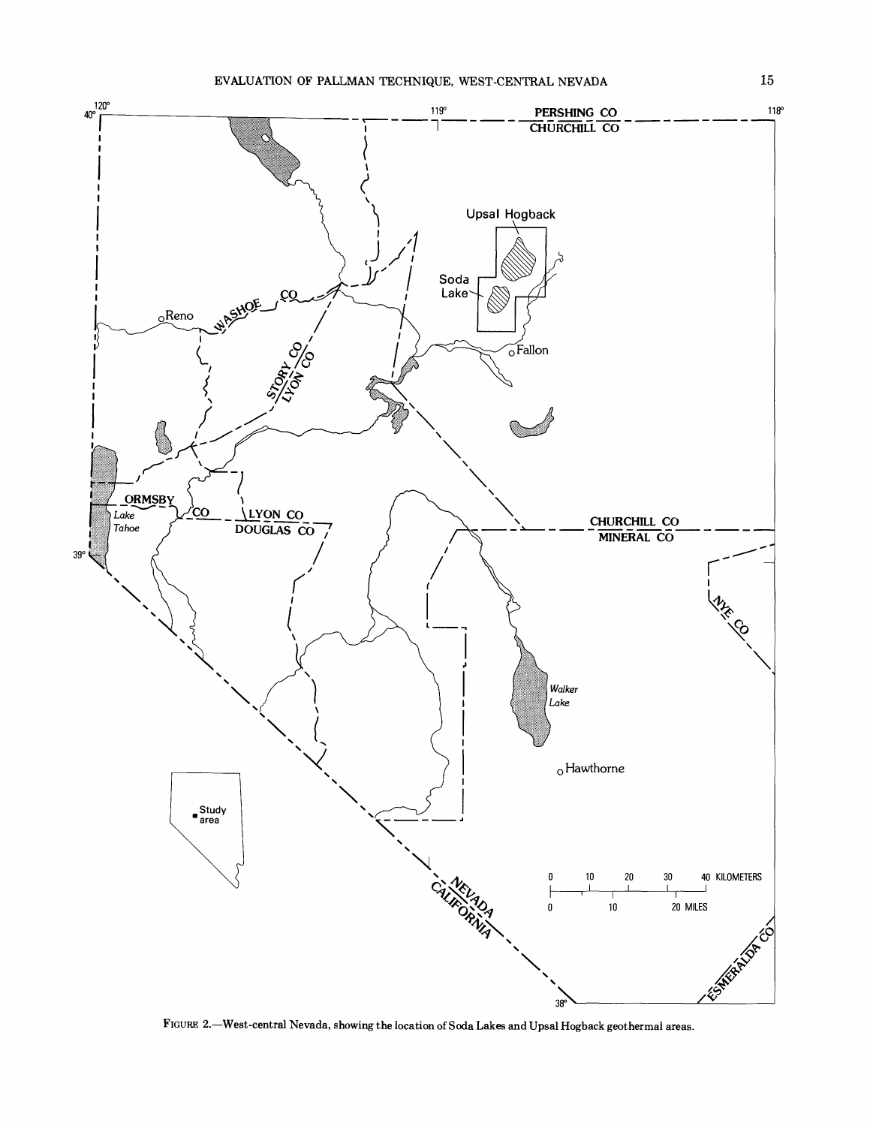

FIGURE 2.-West-central Nevada, showing the location of Soda Lakes and Upsal Hogback geothermal areas.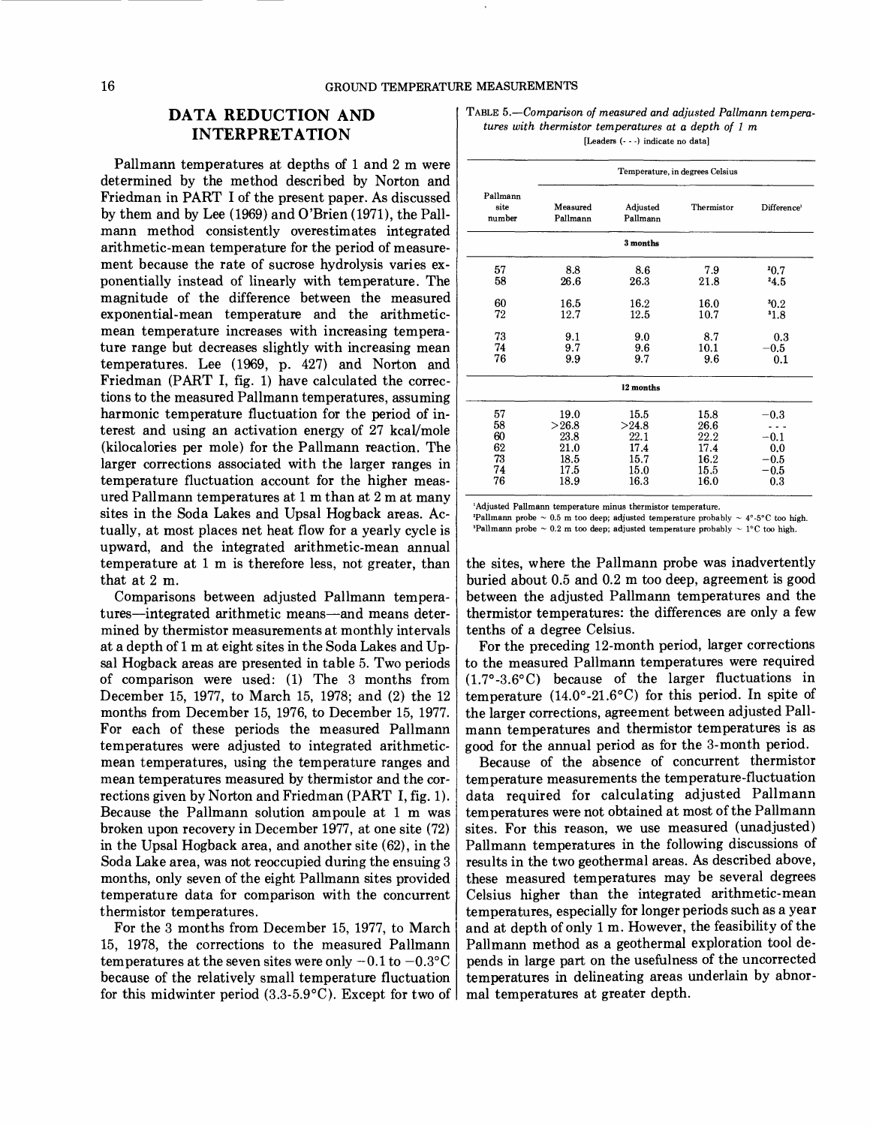### 16 GROUND TEMPERATURE MEASUREMENTS

## **DATA REDUCTION AND INTERPRETATION**

Pallmann temperatures at depths of 1 and 2 m were determined by the method described by Norton and Friedman in PART I of the present paper. As discussed by them and by Lee (1969) and O'Brien (1971), the Pallmann method consistently overestimates integrated arithmetic-mean temperature for the period of measurement because the rate of sucrose hydrolysis varies exponentially instead of linearly with temperature. The magni tude of the difference between the measured exponential-mean temperature and the arithmeticmean temperature increases with increasing temperature range but decreases slightly with increasing mean temperatures. Lee (1969, p. 427) and Norton and Friedman (PART I, fig. 1) have calculated the corrections to the measured Pallmann temperatures, assuming harmonic temperature fluctuation for the period of interest and using an activation energy of 27 kcal/mole (kilocalories per mole) for the Pallmann reaction. The larger corrections associated with the larger ranges in temperature fluctuation account for the higher measured Pallmann temperatures at 1 m than at 2 m at many sites in the Soda Lakes and Upsal Hogback areas. Actually, at most places net heat flow for a yearly cycle is upward, and the integrated arithmetic-mean annual temperature at 1 m is therefore less, not greater, than that at 2 m.

Comparisons between adjusted Pallmann temperatures-integrated arithmetic means-and means determined by thermistor measurements at monthly intervals at a depth of 1 m at eight sites in the Soda Lakes and Upsal Hogback areas are presented in table 5. Two periods of comparison were used: (1) The 3 months from December 15, 1977, to March 15, 1978; and (2) the 12 months from December 15, 1976, to December 15, 1977. For each of these periods the measured Pallmann temperatures were adjusted to integrated arithmeticmean temperatures, using the temperature ranges and mean temperatures measured by tbermistor and the corrections given by Norton and Friedman (PART I, fig. 1). Because the Pallmann solution ampoule at 1 m was broken upon recovery in December 1977, at one site (72) in the Upsal Hogback area, and another site (62), in the Soda Lake area, was not reoccupied during the ensuing 3 months, only seven of the eight Pallmann sites provided temperature data for comparison with the concurrent thermistor temperatures.

For the 3 months from December 15, 1977, to March 15, 1978, the corrections to the measured Pallmann temperatures at the seven sites were only  $-0.1$  to  $-0.3$ °C because of the relatively small temperature fluctuation for this midwinter period  $(3.3-5.9\degree C)$ . Except for two of

TABLE *5.-Comparison of measured and adjusted Pallmann temperatures with thermistor temperatures at a depth of* 1 *m*  [Leaders (- - -J indicate no datal

|                            | Temperature, in degrees Celsius |                      |            |                         |  |
|----------------------------|---------------------------------|----------------------|------------|-------------------------|--|
| Pallmann<br>site<br>number | Measured<br>Pallmann            | Adjusted<br>Pallmann | Thermistor | Difference <sup>1</sup> |  |
|                            |                                 | 3 months             |            |                         |  |
| 57                         | 8.8                             | 8.6                  | 7.9        | 20.7                    |  |
| 58                         | 26.6                            | 26.3                 | 21.8       | 24.5                    |  |
| 60                         | 16.5                            | 16.2                 | 16.0       | 30.2                    |  |
| 72                         | 12.7                            | 12.5                 | 10.7       | 31.8                    |  |
| 73                         | 9.1                             | 9.0                  | 8.7        | 0.3                     |  |
| 74                         | 9.7                             | 9.6                  | 10.1       | $-0.5\,$                |  |
| 76                         | 9.9                             | 9.7                  | 9.6        | 0.1                     |  |
|                            |                                 | 12 months            |            |                         |  |
| 57                         | 19.0                            | 15.5                 | 15.8       | $-0.3$                  |  |
| 58                         | >26.8                           | >24.8                | 26.6       |                         |  |
| 60                         | 23.8                            | 22.1                 | 22.2       | $-0.1$                  |  |
| 62                         | 21.0                            | 17.4                 | 17.4       | 0.0                     |  |
| 73                         | 18.5                            | 15.7                 | 16.2       | $-0.5$                  |  |
| 74                         | 17.5                            | 15.0                 | 15.5       | $-0.5$                  |  |
| 76                         | 18.9                            | 16.3                 | 16.0       | 0.3                     |  |

'Adjusted Pallmann temperature minus thermistor temperature.

'Pallmann probe  $\sim 0.5$  m too deep; adjusted temperature probably  $\sim 4^{\circ}$ -5°C too high. 'Pallmann probe  $\sim 0.2$  m too deep; adjusted temperature probably  $\sim 1^{\circ}$ C too high.

the sites, where the Pallmann probe was inadvertently buried about 0.5 and 0.2 m too deep, agreement is good between the adjusted Pallmann temperatures and the thermistor temperatures: the differences are only a few tenths of a degree Celsius.

For the preceding 12-month period, larger corrections to the measured Pallmann temperatures were required (1.7°-3.6°C) because of the larger fluctuations in temperature  $(14.0^{\circ} - 21.6^{\circ}C)$  for this period. In spite of the larger corrections, agreement between adjusted Pallmann temperatures and thermistor temperatures is as good for the annual period as for the 3-month period.

Because of the absence of concurrent thermistor temperature measurements the temperature-fluctuation data required for calculating adjusted Pallmann temperatures were not obtained at most of the Pallmann sites. For this reason, we use measured (unadjusted) Pallmann temperatures in the following discussions of results in the two geothermal areas. As described above, these measured temperatures may be several degrees Celsius higher than the integrated arithmetic-mean temperatures, especially for longer periods such as a year and at depth of only 1 m. However, the feasibility of the Pallmann method as a geothermal exploration tool depends in large part on the usefulness of the uncorrected temperatures in delineating areas underlain by abnormal temperatures at greater depth.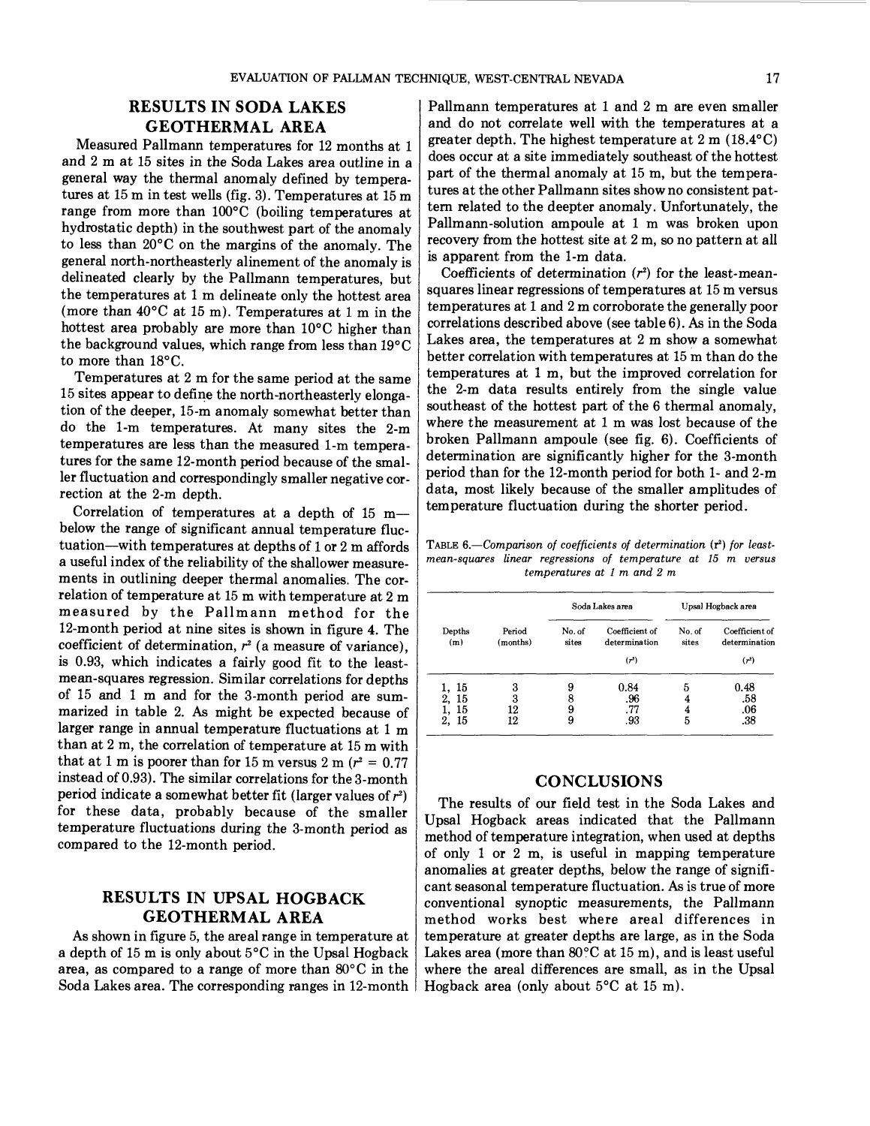## **RESULTS IN SODA LAKES GEOTHERMAL AREA**

Measured Pallmann temperatures for 12 months at 1 and 2 m at 15 sites in the Soda Lakes area outline in a general way the thermal anomaly defined by temperatures at 15 m in test wells (fig. 3). Temperatures at 15 m range from more than 100°C (boiling temperatures at hydrostatic depth) in the southwest part of the anomaly to less than 20°C on the margins of the anomaly. The general north-northeasterly alinement of the anomaly is delineated clearly by the Pallmann temperatures, but the temperatures at 1 m delineate only the hottest area (more than  $40^{\circ}$ C at 15 m). Temperatures at 1 m in the hottest area probably are more than 10°C higher than the background values, which range from less than 19°C to more than 18°C.

Temperatures at 2 m for the same period at the same 15 sites appear to define the north-northeasterly elongation of the deeper, 15-m anomaly somewhat better than do the I-m temperatures. At many sites the 2-m temperatures are less than the measured I-m temperatures for the same 12-month period because of the smaller fluctuation and correspondingly smaller negative correction at the 2-m depth.

Correlation of temperatures at a depth of 15 mbelow the range of significant annual temperature fluctuation-with temperatures at depths of 1 or 2 m affords a useful index of the reliability of the shallower measurements in outlining deeper thermal anomalies. The correlation of temperature at 15 m with temperature at 2 m measured by the Pallmann method for the 12-month period at nine sites is shown in figure 4. The coefficient of determination,  $r<sup>2</sup>$  (a measure of variance), is 0.93, which indicates a fairly good fit to the leastmean-squares regression. Similar correlations for depths of 15 and 1 m and for the 3-month period are summarized in table 2. As might be expected because of larger range in annual temperature fluctuations at 1 m than at 2 m, the correlation of temperature at 15 m with that at 1 m is poorer than for 15 m versus 2 m  $(r^2 = 0.77)$ instead of 0.93). The similar correlations for the 3-month period indicate a somewhat better fit (larger values of  $r^2$ ) for these data, probably because of the smaller temperature fluctuations during the 3-month period as compared to the 12-month period.

## **RESULTS IN UPSAL HOGBACK GEOTHERMAL AREA**

As shown in figure 5, the areal range in temperature at a depth of 15 m is only about 5°C in the Upsal Hogback area, as compared to a range of more than 80° C in the Soda Lakes area. The corresponding ranges in 12-month

Pallmann temperatures at 1 and 2 m are even smaller and do not correlate well with the temperatures at a greater depth. The highest temperature at 2 m (18.4°C) does occur at a site immediately southeast of the hottest part of the thermal anomaly at 15 m, but the temperatures at the other Pallmann sites show no consistent pattern related to the deepter anomaly. Unfortunately, the Pallmann-solution ampoule at 1 m was broken upon recovery from the hottest site at 2 m, so no pattern at all is apparent from the I-m data.

Coefficients of determination  $(r^2)$  for the least-meansquares linear regressions of temperatures at 15 m versus temperatures at 1 and 2 m corroborate the generally poor correlations described above (see table 6). As in the Soda Lakes area, the temperatures at 2 m show a somewhat better correlation with temperatures at 15 m than do the temperatures at 1 m, but the improved correlation for the 2-m data results entirely from the single value southeast of the hottest part of the 6 thermal anomaly, where the measurement at 1 m was lost because of the broken Pallmann ampoule (see fig. 6). Coefficients of determination are significantly higher for the 3-month period than for the 12-month period for both 1- and 2-m data, most likely because of the smaller amplitudes of temperature fluctuation during the shorter period.

TABLE 6.—Comparison of coefficients of determination (r<sup>2</sup>) for least*mean-squares linear regressions of temperature at* 15 *m versus temperatures at* 1 *m and* 2 *m* 

| Depths<br>(m)                       |                    | Soda Lakes area  |                                                      | Upsal Hogback area |                                            |
|-------------------------------------|--------------------|------------------|------------------------------------------------------|--------------------|--------------------------------------------|
|                                     | Period<br>(months) | No. of<br>sites  | Coefficient of<br>determination<br>(r <sup>2</sup> ) | No. of<br>sites    | Coefficient of<br>determination<br>$(r^2)$ |
| 1, 15<br>2, 15<br>15<br>1,<br>2, 15 | 3<br>3<br>12<br>12 | 9<br>8<br>9<br>9 | 0.84<br>.96<br>.77<br>.93                            | 5<br>4<br>5        | 0.48<br>.58<br>.06<br>.38                  |

### **CONCLUSIONS**

The results of our field test in the Soda Lakes and Upsal Hogback areas indicated that the Pallmann method of temperature integration, when used at depths of only 1 or 2 m, is useful in mapping temperature anomalies at greater depths, below the range of significant seasonal temperature fluctuation. As is true of more conventional synoptic measurements, the Pallmann method works best where areal differences in temperature at greater depths are large, as in the Soda Lakes area (more than  $80^{\circ}$ C at 15 m), and is least useful where the areal differences are small, as in the Upsal Hogback area (only about 5°C at 15 m).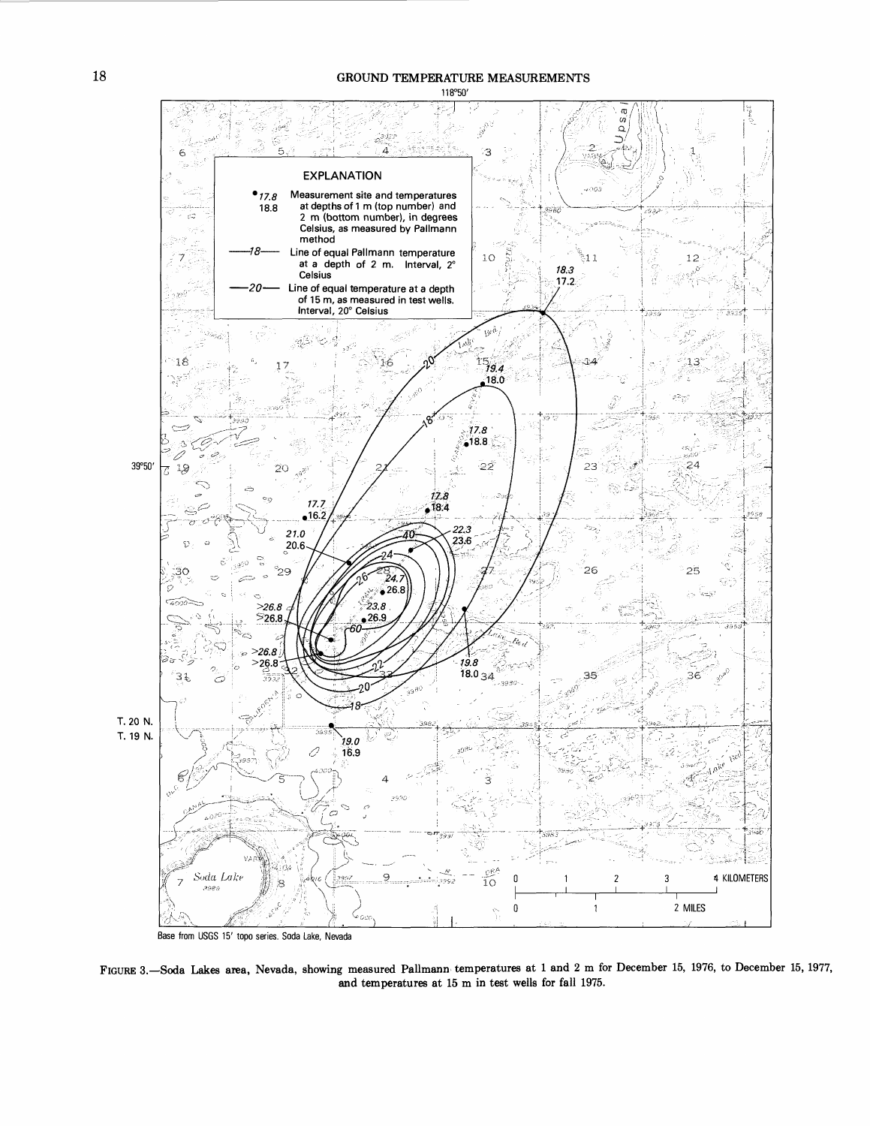### GROUND TEMPERATURE MEASUREMENTS



Base from USGS 15' topo series. Soda Lake. Nevada

FIGURE 3.-Soda Lakes area, Nevada, showing measured Pallmann temperatures at 1 and 2 m for December 15, 1976, to December 15, 1977, and temperatures at 15 m in test wells for fall 1975.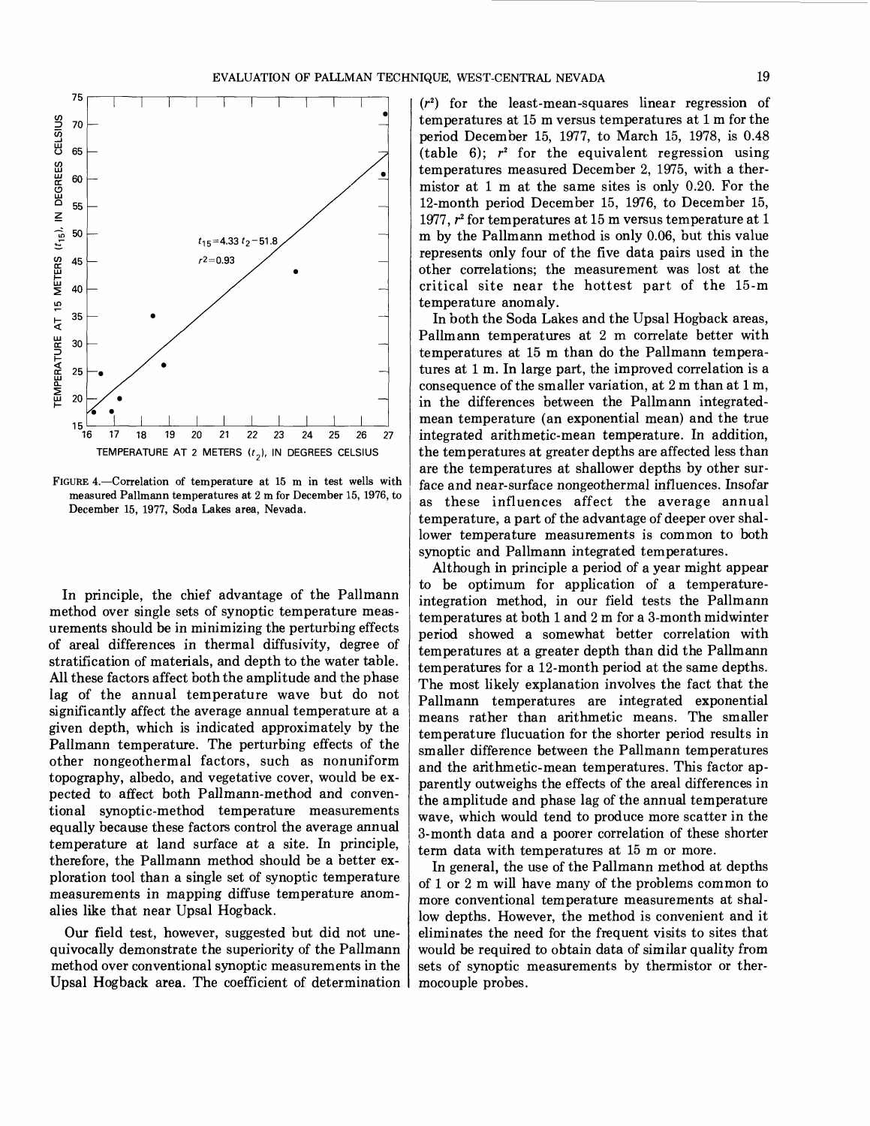

FIGURE 4.-Correlation of temperature at 15 m in test wells with measured Pallmann temperatures at 2 m for December 15, 1976, to December 15, 1977, Soda Lakes area, Nevada.

In principle, the chief advantage of the Pallmann method over single sets of synoptic temperature measurements should be in minimizing the perturbing effects of areal differences in thermal diffusivity, degree of stratification of materials, and depth to the water table. All these factors affect both the amplitude and the phase lag of the annual temperature wave but do not significantly affect the average annual temperature at a given depth, which is indicated approximately by the Pallmann temperature. The perturbing effects of the other nongeothermal factors, such as nonuniform topography, albedo, and vegetative cover, would be expected to affect both Pallmann-method and conventional synoptic-method temperature measurements equally because these factors control the average annual temperature at land surface at a site. In principle, therefore, the Pallmann method should be a better exploration tool than a single set of synoptic temperature measurements in mapping diffuse temperature anomalies like that near Upsal Hogback.

Our field test, however, suggested but did not unequivocally demonstrate the superiority of the Pallmann method over conventional synoptic measurements in the Upsal Hogback area. The coefficient of determination

 $(r<sup>2</sup>)$  for the least-mean-squares linear regression of temperatures at 15 m versus temperatures at 1 m for the period December 15, 1977, to March 15, 1978, is 0.48 (table 6);  $r^2$  for the equivalent regression using temperatures measured December 2, 1975, with a thermistor at 1 m at the same sites is only 0.20. For the 12-month period December 15, 1976, to December 15, 1977,  $r^2$  for temperatures at 15 m versus temperature at 1 m by the Pallmann method is only 0.06, but this value represents only four of the five data pairs used in the other correlations; the measurement was lost at the critical site near the hottest part of the 15-m temperature anomaly.

In both the Soda Lakes and the Upsal Hogback areas, Pallmann temperatures at 2 m correlate better with temperatures at 15 m than do the Pallmann temperatures at 1 m. In large part, the improved correlation is a consequence of the smaller variation, at 2 m than at 1 m, in the differences between the Pallmann integratedmean temperature (an exponential mean) and the true integrated arithmetic-mean temperature. In addition, the temperatures at greater depths are affected less than are the temperatures at shallower depths by other surface and near-surface nongeothermal influences. Insofar as these influences affect the average annual temperature, a part of the advantage of deeper over shallower temperature measurements is common to both synoptic and Pallmann integrated temperatures.

Although in principle a period of a year might appear to be optimum for application of a temperatureintegration method, in our field tests the Pallmann temperatures at both 1 and 2 m for a 3-month midwinter period showed a somewhat better correlation with temperatures at a greater depth than did the Pallmann temperatures for a 12-month period at the same depths. The most likely explanation involves the fact that the Pallmann temperatures are integrated exponential means rather than arithmetic means. The smaller temperature flucuation for the shorter period results in smaller difference between the Pallmann temperatures and the arithmetic-mean temperatures. This factor apparently outweighs the effects of the areal differences in the amplitude and phase lag of the annual temperature wave, which would tend to produce more scatter in the 3-month data and a poorer correlation of these shorter term data with temperatures at 15 m or more.

In general, the use of the Pallmann method at depths of 1 or 2 m will have many of the problems common to more conventional temperature measurements at shallow depths. However, the method is convenient and it eliminates the need for the frequent visits to sites that would be required to obtain data of similar quality from sets of synoptic measurements by thermistor or thermocouple probes.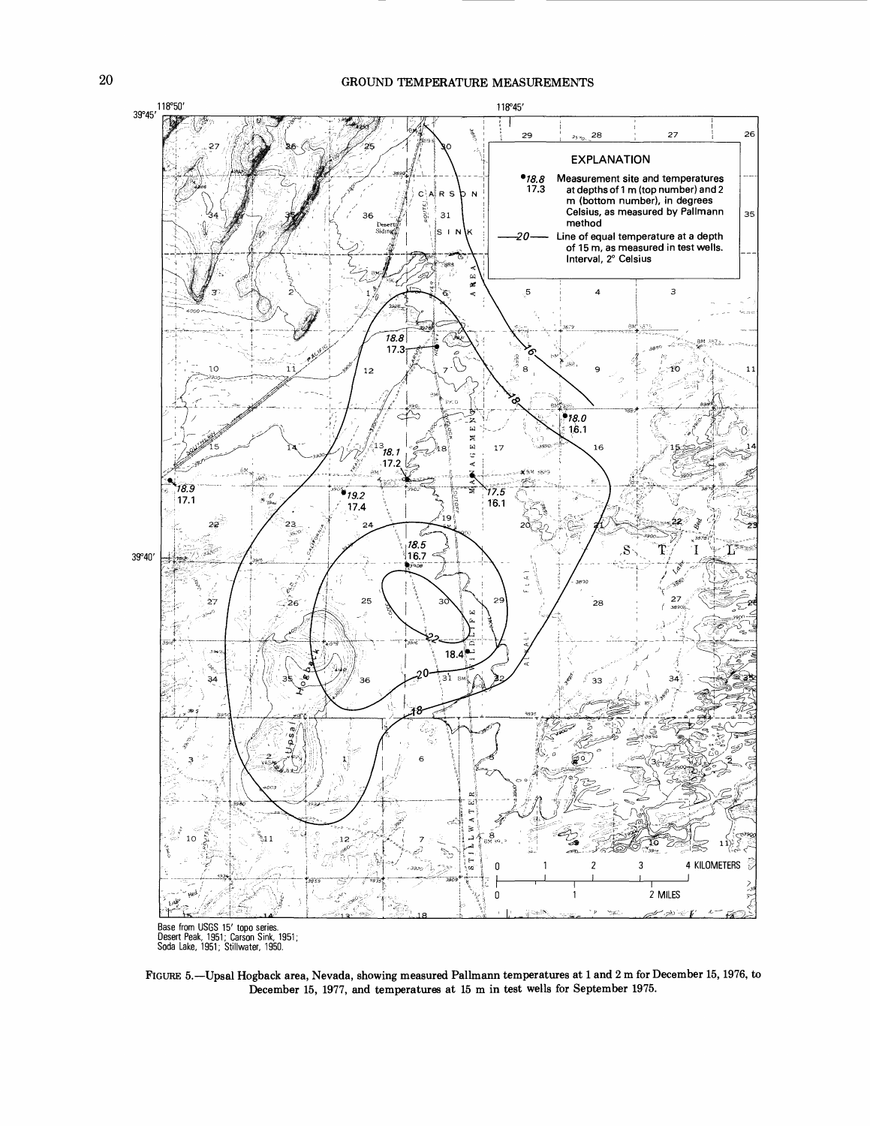

FIGURE 5.-Upsal Hogback area, Nevada, showing measured Pallmann temperatures at 1 and 2 m for December 15, 1976, to December 15, 1977, and temperatures at 15 m in test wells for September 1975.